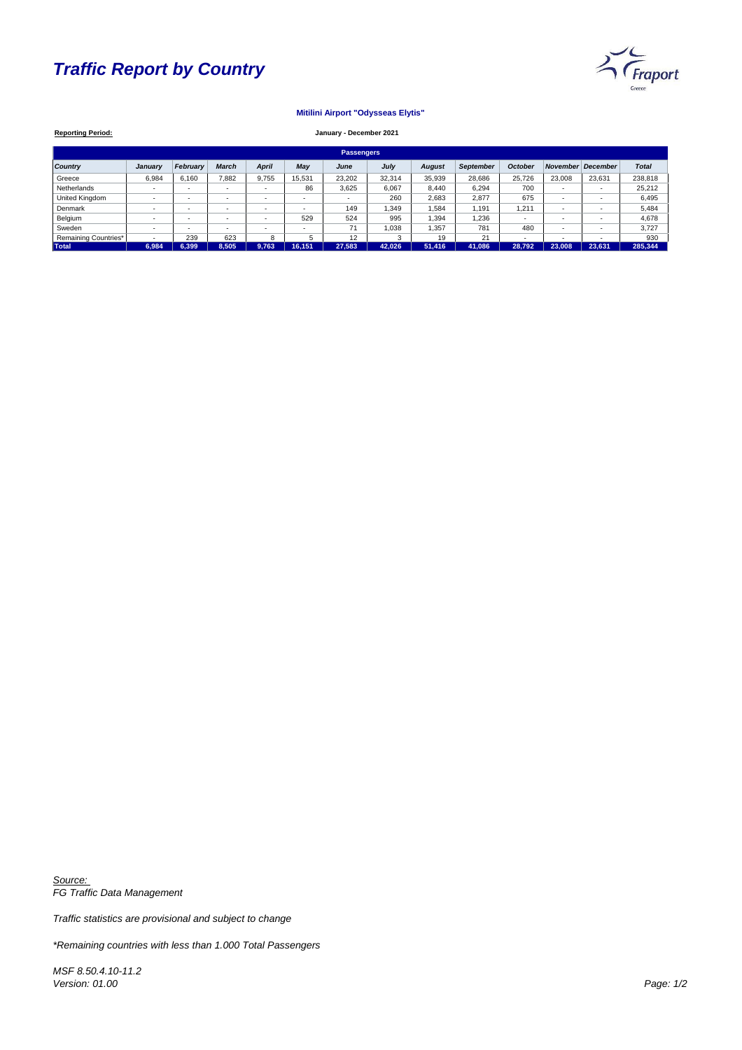# *Traffic Report by Country*



| <b>Reporting Period:</b>    | January - December 2021  |                          |                          |              |                          |                          |        |               |                  |                          |                          |                 |              |
|-----------------------------|--------------------------|--------------------------|--------------------------|--------------|--------------------------|--------------------------|--------|---------------|------------------|--------------------------|--------------------------|-----------------|--------------|
| <b>Passengers</b>           |                          |                          |                          |              |                          |                          |        |               |                  |                          |                          |                 |              |
| <b>Country</b>              | <b>January</b>           | <b>February</b>          | <b>March</b>             | <b>April</b> | <b>May</b>               | June                     | July   | <b>August</b> | <b>September</b> | <b>October</b>           | November                 | <b>December</b> | <b>Total</b> |
| Greece                      | 6,984                    | 6,160                    | 7,882                    | 9,755        | 15,531                   | 23,202                   | 32,314 | 35,939        | 28,686           | 25,726                   | 23,008                   | 23,631          | 238,818      |
| Netherlands                 | ۰                        | $\overline{\phantom{a}}$ |                          |              | 86                       | 3,625                    | 6,067  | 8,440         | 6,294            | 700                      | $\overline{\phantom{0}}$ |                 | 25,212       |
| United Kingdom              | $\overline{\phantom{a}}$ | $\overline{\phantom{a}}$ | $\overline{\phantom{0}}$ |              | $\sim$                   | $\overline{\phantom{0}}$ | 260    | 2,683         | 2,877            | 675                      | $\overline{\phantom{a}}$ |                 | 6,495        |
| Denmark                     | ۰                        | $\overline{\phantom{a}}$ |                          |              | $\overline{\phantom{a}}$ | 149                      | ,349   | 1,584         | 1,191            | 1,211                    | $\overline{\phantom{0}}$ |                 | 5,484        |
| Belgium                     | $\overline{\phantom{a}}$ | $\overline{\phantom{a}}$ | $\overline{\phantom{0}}$ |              | 529                      | 524                      | 995    | 1,394         | 1,236            | $\overline{\phantom{a}}$ |                          |                 | 4,678        |
| Sweden                      | ٠                        | $\overline{\phantom{a}}$ |                          |              | $\overline{\phantom{a}}$ | 71                       | 1,038  | 1,357         | 781              | 480                      |                          |                 | 3,727        |
| <b>Remaining Countries*</b> | $\overline{\phantom{a}}$ | 239                      | 623                      | 8            | 5                        | 12                       | 3      | 19            | 21               | ٠                        |                          |                 | 930          |
| <b>Total</b>                | 6,984                    | 6,399                    | 8,505                    | 9,763        | 16,151                   | 27,583                   | 42,026 | 51,416        | 41,086           | 28,792                   | 23,008                   | 23,631          | 285,344      |

### **Mitilini Airport "Odysseas Elytis"**

### **January - December 2021**

*Source: FG Traffic Data Management*

*Traffic statistics are provisional and subject to change*

*\*Remaining countries with less than 1.000 Total Passengers*

*MSF 8.50.4.10-11.2 Version: 01.00 Page: 1/2*